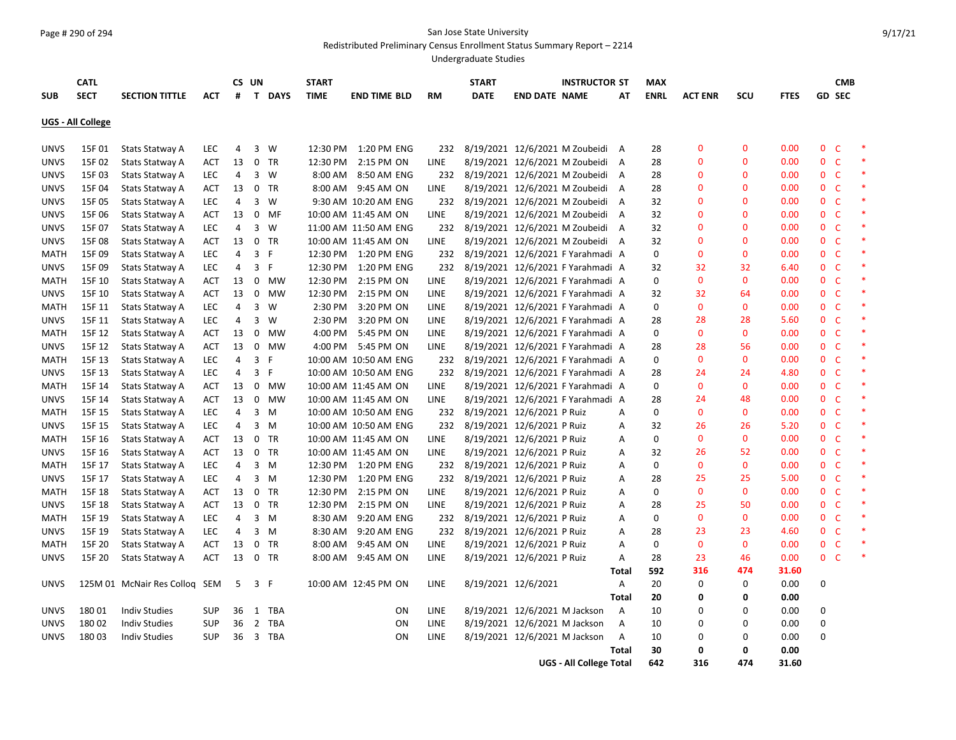## Page # 290 of 294 San Jose State University

Redistributed Preliminary Census Enrollment Status Summary Report – 2214

Undergraduate Studies

| <b>CATL</b>       |             |                           |            | CS UN |                |           | <b>START</b> |                       | <b>START</b> |                                |                               | <b>INSTRUCTOR ST</b>              |                | <b>MAX</b>  |                |                |             | <b>CMB</b>     |                |        |
|-------------------|-------------|---------------------------|------------|-------|----------------|-----------|--------------|-----------------------|--------------|--------------------------------|-------------------------------|-----------------------------------|----------------|-------------|----------------|----------------|-------------|----------------|----------------|--------|
| <b>SUB</b>        | <b>SECT</b> | <b>SECTION TITTLE</b>     | ACT        | #     |                | T DAYS    | <b>TIME</b>  | <b>END TIME BLD</b>   | <b>RM</b>    | <b>DATE</b>                    | <b>END DATE NAME</b>          |                                   | AΤ             | <b>ENRL</b> | <b>ACT ENR</b> | SCU            | <b>FTES</b> |                | <b>GD SEC</b>  |        |
| UGS - All College |             |                           |            |       |                |           |              |                       |              |                                |                               |                                   |                |             |                |                |             |                |                |        |
| <b>UNVS</b>       | 15F 01      | Stats Statway A           | <b>LEC</b> | 4     |                | 3 W       | 12:30 PM     | 1:20 PM ENG           | 232          |                                |                               | 8/19/2021 12/6/2021 M Zoubeidi A  |                | 28          | 0              | $\mathbf{0}$   | 0.00        |                | 0 <sub>c</sub> | $\ast$ |
| <b>UNVS</b>       | 15F 02      | Stats Statway A           | ACT        | 13    |                | 0 TR      | 12:30 PM     | 2:15 PM ON            | LINE         |                                |                               | 8/19/2021 12/6/2021 M Zoubeidi    | A              | 28          | 0              | 0              | 0.00        |                | 0 <sub>c</sub> | $\ast$ |
| <b>UNVS</b>       | 15F 03      | Stats Statway A           | <b>LEC</b> | 4     | 3              | W         | 8:00 AM      | 8:50 AM ENG           | 232          |                                |                               | 8/19/2021 12/6/2021 M Zoubeidi    | A              | 28          | 0              | 0              | 0.00        | 0 <sub>c</sub> |                | $\ast$ |
| <b>UNVS</b>       | 15F 04      | Stats Statway A           | ACT        | 13    | 0              | TR        | 8:00 AM      | 9:45 AM ON            | LINE         |                                |                               | 8/19/2021 12/6/2021 M Zoubeidi    | A              | 28          | 0              | 0              | 0.00        |                | 0 <sub>c</sub> | $\ast$ |
| <b>UNVS</b>       | 15F 05      | Stats Statway A           | <b>LEC</b> | 4     | 3              | W         |              | 9:30 AM 10:20 AM ENG  | 232          | 8/19/2021 12/6/2021 M Zoubeidi |                               |                                   | A              | 32          | 0              | $\overline{0}$ | 0.00        | $\mathbf{0}$   | <b>C</b>       | $\ast$ |
| <b>UNVS</b>       | 15F 06      | Stats Statway A           | ACT        | 13    | 0              | MF        |              | 10:00 AM 11:45 AM ON  | LINE         |                                |                               | 8/19/2021 12/6/2021 M Zoubeidi    | A              | 32          | 0              | 0              | 0.00        | 0 <sup>o</sup> |                |        |
| <b>UNVS</b>       | 15F 07      | Stats Statway A           | <b>LEC</b> | 4     | 3              | W         |              | 11:00 AM 11:50 AM ENG | 232          | 8/19/2021 12/6/2021 M Zoubeidi |                               |                                   | $\overline{A}$ | 32          | 0              | 0              | 0.00        |                | 0 <sup>o</sup> | $\ast$ |
| <b>UNVS</b>       | 15F 08      | Stats Statway A           | ACT        | 13    |                | 0 TR      |              | 10:00 AM 11:45 AM ON  | LINE         |                                |                               | 8/19/2021 12/6/2021 M Zoubeidi    | A              | 32          | 0              | 0              | 0.00        | 0 <sup>o</sup> |                | $\ast$ |
| <b>MATH</b>       | 15F 09      | Stats Statway A           | <b>LEC</b> | 4     | $\mathbf{3}$   | - F       | 12:30 PM     | 1:20 PM ENG           | 232          |                                |                               | 8/19/2021 12/6/2021 F Yarahmadi A |                | 0           | 0              | 0              | 0.00        | 0 <sub>c</sub> |                |        |
| <b>UNVS</b>       | 15F 09      | Stats Statway A           | <b>LEC</b> | 4     | 3              | F         | 12:30 PM     | 1:20 PM ENG           | 232          |                                |                               | 8/19/2021 12/6/2021 F Yarahmadi A |                | 32          | 32             | 32             | 6.40        | $\mathbf{0}$   | - C            |        |
| <b>MATH</b>       | 15F 10      | Stats Statway A           | <b>ACT</b> | 13    | $\mathbf 0$    | MW        | 12:30 PM     | 2:15 PM ON            | <b>LINE</b>  |                                |                               | 8/19/2021 12/6/2021 F Yarahmadi A |                | 0           | 0              | $\overline{0}$ | 0.00        | $\mathbf{0}$   | -C             | $\ast$ |
| <b>UNVS</b>       | 15F 10      | Stats Statway A           | ACT        | 13    | 0              | MW        | 12:30 PM     | 2:15 PM ON            | LINE         |                                |                               | 8/19/2021 12/6/2021 F Yarahmadi A |                | 32          | 32             | 64             | 0.00        | $\mathbf{0}$   | - C            | $\ast$ |
| <b>MATH</b>       | 15F 11      | Stats Statway A           | LEC        | 4     |                | 3 W       | 2:30 PM      | 3:20 PM ON            | LINE         |                                |                               | 8/19/2021 12/6/2021 F Yarahmadi A |                | 0           | $\mathbf{0}$   | $\mathbf{0}$   | 0.00        | $\mathbf{0}$   | - C            | $\ast$ |
| <b>UNVS</b>       | 15F 11      | Stats Statway A           | <b>LEC</b> | 4     |                | 3 W       | 2:30 PM      | 3:20 PM ON            | LINE         |                                |                               | 8/19/2021 12/6/2021 F Yarahmadi A |                | 28          | 28             | 28             | 5.60        | $\mathbf{0}$   | - C            | $\ast$ |
| <b>MATH</b>       | 15F 12      | Stats Statway A           | <b>ACT</b> | 13    | 0              | <b>MW</b> | 4:00 PM      | 5:45 PM ON            | LINE         |                                |                               | 8/19/2021 12/6/2021 F Yarahmadi A |                | 0           | $\mathbf{0}$   | $\mathbf{0}$   | 0.00        | 0 <sup>o</sup> |                | $\ast$ |
| <b>UNVS</b>       | 15F 12      | Stats Statway A           | ACT        | 13    | 0              | MW        | 4:00 PM      | 5:45 PM ON            | LINE         |                                |                               | 8/19/2021 12/6/2021 F Yarahmadi A |                | 28          | 28             | 56             | 0.00        | $\mathbf{0}$   | - C            |        |
| <b>MATH</b>       | 15F 13      | Stats Statway A           | <b>LEC</b> | 4     | 3              | F         |              | 10:00 AM 10:50 AM ENG | 232          |                                |                               | 8/19/2021 12/6/2021 F Yarahmadi A |                | 0           | 0              | $\Omega$       | 0.00        | $\mathbf{0}$   | -C             |        |
| <b>UNVS</b>       | 15F 13      | Stats Statway A           | <b>LEC</b> | 4     | 3              | F         |              | 10:00 AM 10:50 AM ENG | 232          |                                |                               | 8/19/2021 12/6/2021 F Yarahmadi A |                | 28          | 24             | 24             | 4.80        | 0 <sub>c</sub> |                | $\ast$ |
| <b>MATH</b>       | 15F 14      | Stats Statway A           | ACT        | 13    | 0              | MW        |              | 10:00 AM 11:45 AM ON  | LINE         |                                |                               | 8/19/2021 12/6/2021 F Yarahmadi A |                | 0           | $\mathbf{0}$   | $\mathbf{0}$   | 0.00        | $\mathbf{0}$   | - C            | $\ast$ |
| <b>UNVS</b>       | 15F 14      | Stats Statway A           | ACT        | 13    | $\mathbf 0$    | мw        |              | 10:00 AM 11:45 AM ON  | LINE         |                                |                               | 8/19/2021 12/6/2021 F Yarahmadi A |                | 28          | 24             | 48             | 0.00        | 0              | - C            | $\ast$ |
| <b>MATH</b>       | 15F 15      | <b>Stats Statway A</b>    | <b>LEC</b> | 4     |                | $3 \, M$  |              | 10:00 AM 10:50 AM ENG | 232          | 8/19/2021 12/6/2021 P Ruiz     |                               |                                   | Α              | 0           | 0              | $\mathbf{0}$   | 0.00        | 0 <sub>c</sub> |                | $\ast$ |
| <b>UNVS</b>       | 15F 15      | Stats Statway A           | <b>LEC</b> | 4     | 3              | M         |              | 10:00 AM 10:50 AM ENG | 232          | 8/19/2021 12/6/2021 P Ruiz     |                               |                                   | Α              | 32          | 26             | 26             | 5.20        | $\mathbf 0$    | -C             |        |
| <b>MATH</b>       | 15F 16      | Stats Statway A           | <b>ACT</b> | 13    | 0              | TR        |              | 10:00 AM 11:45 AM ON  | <b>LINE</b>  |                                | 8/19/2021 12/6/2021 P Ruiz    |                                   | A              | 0           | $\Omega$       | $\Omega$       | 0.00        | $\mathbf{0}$   | <b>C</b>       |        |
| <b>UNVS</b>       | 15F 16      | Stats Statway A           | ACT        | 13    |                | 0 TR      |              | 10:00 AM 11:45 AM ON  | LINE         |                                | 8/19/2021 12/6/2021 P Ruiz    |                                   | Α              | 32          | 26             | 52             | 0.00        | 0 <sup>o</sup> |                | $\ast$ |
| <b>MATH</b>       | 15F 17      | Stats Statway A           | LEC        | 4     |                | 3 M       |              | 12:30 PM 1:20 PM ENG  | 232          | 8/19/2021 12/6/2021 P Ruiz     |                               |                                   | Α              | 0           | $\mathbf{0}$   | $\mathbf{0}$   | 0.00        | 0 <sub>c</sub> |                |        |
| <b>UNVS</b>       | 15F 17      | Stats Statway A           | <b>LEC</b> | 4     |                | 3 M       | 12:30 PM     | 1:20 PM ENG           | 232          | 8/19/2021 12/6/2021 P Ruiz     |                               |                                   | Α              | 28          | 25             | 25             | 5.00        | 0              | - C            | $\ast$ |
| <b>MATH</b>       | 15F 18      | <b>Stats Statway A</b>    | ACT        | 13    | 0              | TR        | 12:30 PM     | 2:15 PM ON            | LINE         |                                | 8/19/2021 12/6/2021 P Ruiz    |                                   | Α              | 0           | 0              | $\mathbf{0}$   | 0.00        | $\mathbf{0}$   | - C            | $\ast$ |
| <b>UNVS</b>       | 15F 18      | Stats Statway A           | ACT        | 13    | $\mathbf 0$    | TR        | 12:30 PM     | 2:15 PM ON            | LINE         |                                | 8/19/2021 12/6/2021 P Ruiz    |                                   | Α              | 28          | 25             | 50             | 0.00        | $\mathbf 0$    | -C             |        |
| <b>MATH</b>       | 15F 19      | Stats Statway A           | <b>LEC</b> | 4     | $\mathbf{3}$   | M         | 8:30 AM      | 9:20 AM ENG           | 232          | 8/19/2021 12/6/2021 P Ruiz     |                               |                                   | Α              | 0           | 0              | $\mathbf{0}$   | 0.00        | $\mathbf{0}$   | -C             |        |
| <b>UNVS</b>       | 15F 19      | Stats Statway A           | <b>LEC</b> | 4     |                | 3 M       | 8:30 AM      | 9:20 AM ENG           | 232          | 8/19/2021 12/6/2021 P Ruiz     |                               |                                   | Α              | 28          | 23             | 23             | 4.60        | 0 <sub>c</sub> |                | $\ast$ |
| <b>MATH</b>       | 15F 20      | Stats Statway A           | ACT        | 13    | 0              | TR        | 8:00 AM      | 9:45 AM ON            | LINE         |                                | 8/19/2021 12/6/2021 P Ruiz    |                                   | Α              | 0           | 0              | 0              | 0.00        | $\mathbf{0}$   | - C            |        |
| <b>UNVS</b>       | 15F 20      | Stats Statway A           | ACT        | 13    | $\mathbf 0$    | TR        | 8:00 AM      | 9:45 AM ON            | LINE         |                                | 8/19/2021 12/6/2021 P Ruiz    |                                   | Α              | 28          | 23             | 46             | 0.00        | 0 <sup>o</sup> |                |        |
|                   |             |                           |            |       |                |           |              |                       |              |                                |                               |                                   | <b>Total</b>   | 592         | 316            | 474            | 31.60       |                |                |        |
| <b>UNVS</b>       |             | 125M 01 McNair Res Collog | SEM        | 5     | 3 F            |           |              | 10:00 AM 12:45 PM ON  | LINE         |                                | 8/19/2021 12/6/2021           |                                   | Α              | 20          | 0              | 0              | 0.00        | 0              |                |        |
|                   |             |                           |            |       |                |           |              |                       |              |                                |                               |                                   | <b>Total</b>   | 20          | 0              | 0              | 0.00        |                |                |        |
| <b>UNVS</b>       | 18001       | <b>Indiv Studies</b>      | <b>SUP</b> | 36    |                | 1 TBA     |              | ON                    | LINE         |                                | 8/19/2021 12/6/2021 M Jackson |                                   | Α              | 10          | 0              | 0              | 0.00        | 0              |                |        |
| <b>UNVS</b>       | 180 02      | <b>Indiv Studies</b>      | <b>SUP</b> | 36    | $\overline{2}$ | TBA       |              | ON                    | LINE         |                                | 8/19/2021 12/6/2021 M Jackson |                                   | Α              | 10          | 0              | 0              | 0.00        | 0              |                |        |
| <b>UNVS</b>       | 18003       | <b>Indiv Studies</b>      | <b>SUP</b> | 36    |                | 3 TBA     |              | ON                    | LINE         |                                | 8/19/2021 12/6/2021 M Jackson |                                   | A              | 10          | 0              | 0              | 0.00        | 0              |                |        |
|                   |             |                           |            |       |                |           |              |                       |              |                                |                               |                                   | <b>Total</b>   | 30          | 0              | 0              | 0.00        |                |                |        |
|                   |             |                           |            |       |                |           |              |                       |              |                                |                               | <b>UGS - All College Total</b>    |                | 642         | 316            | 474            | 31.60       |                |                |        |